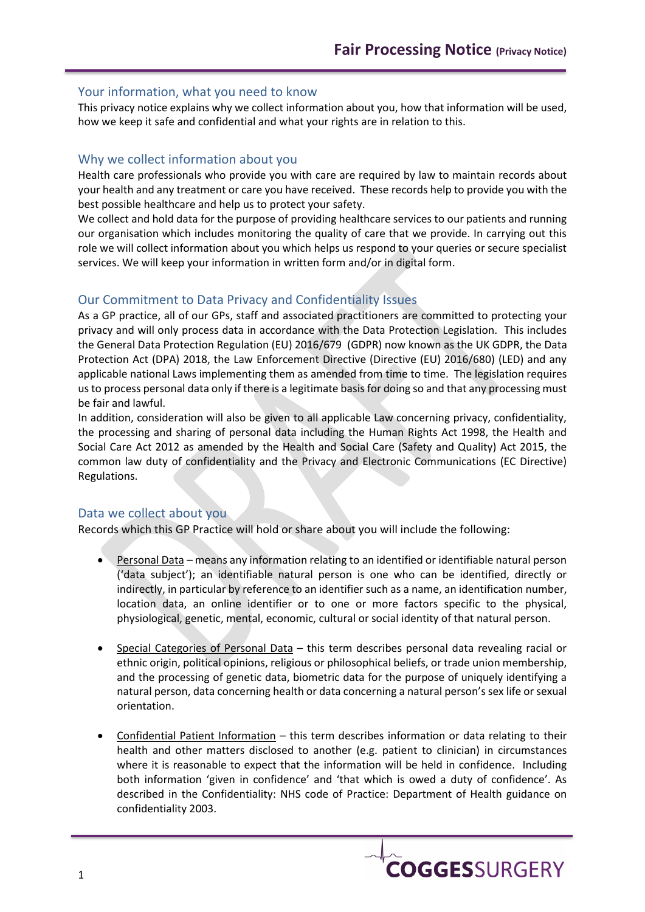### Your information, what you need to know

This privacy notice explains why we collect information about you, how that information will be used, how we keep it safe and confidential and what your rights are in relation to this.

## Why we collect information about you

Health care professionals who provide you with care are required by law to maintain records about your health and any treatment or care you have received. These records help to provide you with the best possible healthcare and help us to protect your safety.

We collect and hold data for the purpose of providing healthcare services to our patients and running our organisation which includes monitoring the quality of care that we provide. In carrying out this role we will collect information about you which helps us respond to your queries or secure specialist services. We will keep your information in written form and/or in digital form.

## Our Commitment to Data Privacy and Confidentiality Issues

As a GP practice, all of our GPs, staff and associated practitioners are committed to protecting your privacy and will only process data in accordance with the Data Protection Legislation. This includes the General Data Protection Regulation (EU) 2016/679 (GDPR) now known as the UK GDPR, the Data Protection Act (DPA) 2018, the Law Enforcement Directive (Directive (EU) 2016/680) (LED) and any applicable national Laws implementing them as amended from time to time. The legislation requires us to process personal data only if there is a legitimate basis for doing so and that any processing must be fair and lawful.

In addition, consideration will also be given to all applicable Law concerning privacy, confidentiality, the processing and sharing of personal data including the Human Rights Act 1998, the Health and Social Care Act 2012 as amended by the Health and Social Care (Safety and Quality) Act 2015, the common law duty of confidentiality and the Privacy and Electronic Communications (EC Directive) Regulations.

## Data we collect about you

Records which this GP Practice will hold or share about you will include the following:

- Personal Data means any information relating to an identified or identifiable natural person ('data subject'); an identifiable natural person is one who can be identified, directly or indirectly, in particular by reference to an identifier such as a name, an identification number, location data, an online identifier or to one or more factors specific to the physical, physiological, genetic, mental, economic, cultural or social identity of that natural person.
- Special Categories of Personal Data this term describes personal data revealing racial or ethnic origin, political opinions, religious or philosophical beliefs, or trade union membership, and the processing of genetic data, biometric data for the purpose of uniquely identifying a natural person, data concerning health or data concerning a natural person's sex life or sexual orientation.
- Confidential Patient Information this term describes information or data relating to their health and other matters disclosed to another (e.g. patient to clinician) in circumstances where it is reasonable to expect that the information will be held in confidence. Including both information 'given in confidence' and 'that which is owed a duty of confidence'. As described in the Confidentiality: NHS code of Practice: Department of Health guidance on confidentiality 2003.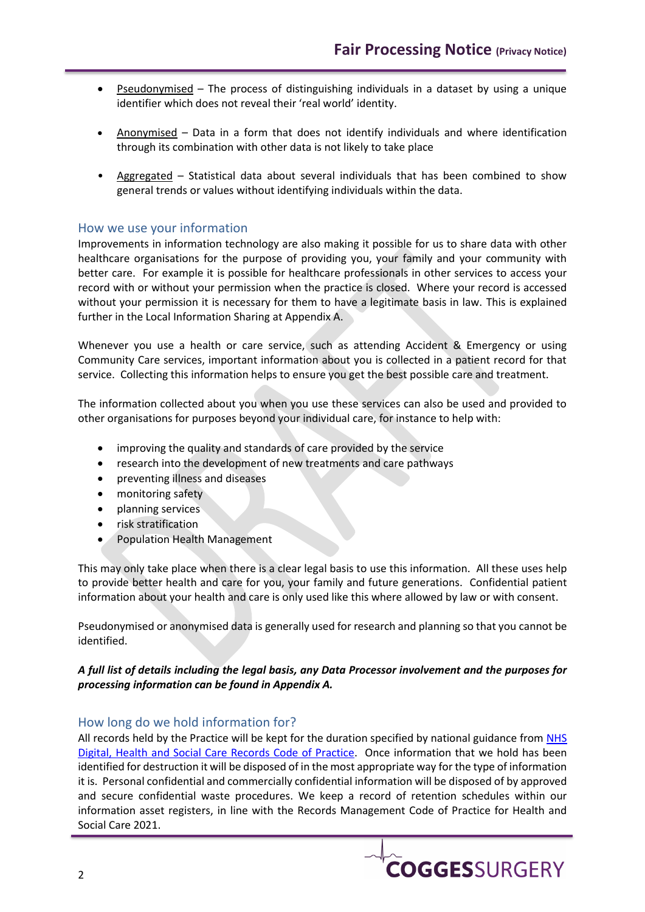- Pseudonymised The process of distinguishing individuals in a dataset by using a unique identifier which does not reveal their 'real world' identity.
- Anonymised Data in a form that does not identify individuals and where identification through its combination with other data is not likely to take place
- Aggregated Statistical data about several individuals that has been combined to show general trends or values without identifying individuals within the data.

### How we use your information

Improvements in information technology are also making it possible for us to share data with other healthcare organisations for the purpose of providing you, your family and your community with better care. For example it is possible for healthcare professionals in other services to access your record with or without your permission when the practice is closed. Where your record is accessed without your permission it is necessary for them to have a legitimate basis in law. This is explained further in the Local Information Sharing at Appendix A.

Whenever you use a health or care service, such as attending Accident & Emergency or using Community Care services, important information about you is collected in a patient record for that service. Collecting this information helps to ensure you get the best possible care and treatment.

The information collected about you when you use these services can also be used and provided to other organisations for purposes beyond your individual care, for instance to help with:

- improving the quality and standards of care provided by the service
- research into the development of new treatments and care pathways
- preventing illness and diseases
- monitoring safety
- planning services
- risk stratification
- Population Health Management

This may only take place when there is a clear legal basis to use this information. All these uses help to provide better health and care for you, your family and future generations. Confidential patient information about your health and care is only used like this where allowed by law or with consent.

Pseudonymised or anonymised data is generally used for research and planning so that you cannot be identified.

#### *A full list of details including the legal basis, any Data Processor involvement and the purposes for processing information can be found in Appendix A.*

#### How long do we hold information for?

All records held by the Practice will be kept for the duration specified by national guidance from [NHS](https://www.nhsx.nhs.uk/information-governance/guidance/records-management-code/)  [Digital, Health and Social Care Records Code of Practice.](https://www.nhsx.nhs.uk/information-governance/guidance/records-management-code/) Once information that we hold has been identified for destruction it will be disposed of in the most appropriate way for the type of information it is. Personal confidential and commercially confidential information will be disposed of by approved and secure confidential waste procedures. We keep a record of retention schedules within our information asset registers, in line with the Records Management Code of Practice for Health and Social Care 2021.

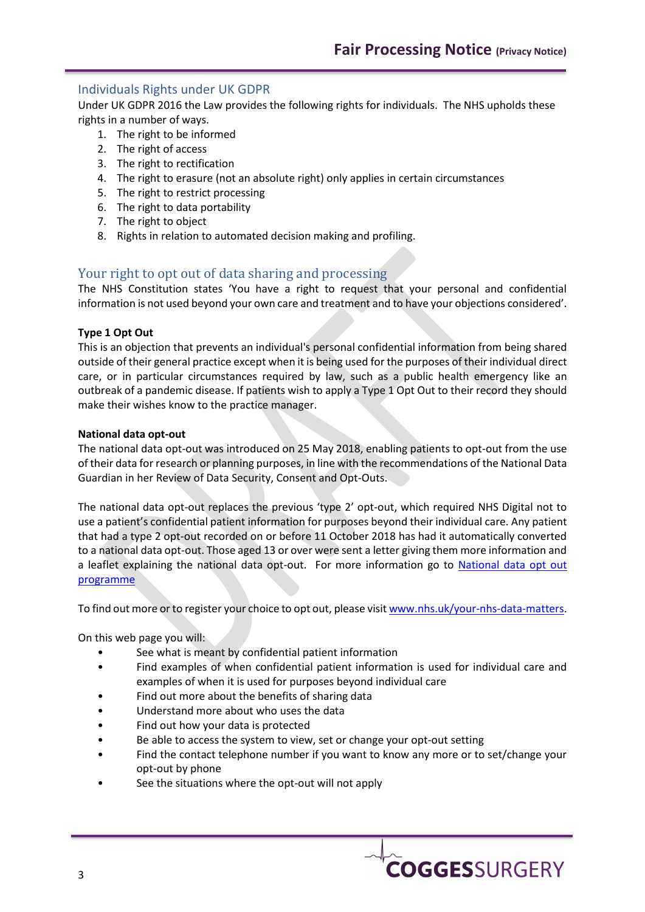# Individuals Rights under UK GDPR

Under UK GDPR 2016 the Law provides the following rights for individuals. The NHS upholds these rights in a number of ways.

- 1. The right to be informed
- 2. The right of access
- 3. The right to rectification
- 4. The right to erasure (not an absolute right) only applies in certain circumstances
- 5. The right to restrict processing
- 6. The right to data portability
- 7. The right to object
- 8. Rights in relation to automated decision making and profiling.

# Your right to opt out of data sharing and processing

The NHS Constitution states 'You have a right to request that your personal and confidential information is not used beyond your own care and treatment and to have your objections considered'.

#### **Type 1 Opt Out**

This is an objection that prevents an individual's personal confidential information from being shared outside of their general practice except when it is being used for the purposes of their individual direct care, or in particular circumstances required by law, such as a public health emergency like an outbreak of a pandemic disease. If patients wish to apply a Type 1 Opt Out to their record they should make their wishes know to the practice manager.

#### **National data opt-out**

The national data opt-out was introduced on 25 May 2018, enabling patients to opt-out from the use of their data for research or planning purposes, in line with the recommendations of the National Data Guardian in her Review of Data Security, Consent and Opt-Outs.

The national data opt-out replaces the previous 'type 2' opt-out, which required NHS Digital not to use a patient's confidential patient information for purposes beyond their individual care. Any patient that had a type 2 opt-out recorded on or before 11 October 2018 has had it automatically converted to a national data opt-out. Those aged 13 or over were sent a letter giving them more information and a leaflet explaining the national data opt-out. For more information go to [National data opt out](https://digital.nhs.uk/services/national-data-opt-out-programme)  [programme](https://digital.nhs.uk/services/national-data-opt-out-programme)

To find out more or to register your choice to opt out, please visi[t www.nhs.uk/your-nhs-data-matters.](http://www.nhs.uk/your-nhs-data-matters)

On this web page you will:

- See what is meant by confidential patient information
- Find examples of when confidential patient information is used for individual care and examples of when it is used for purposes beyond individual care
- Find out more about the benefits of sharing data
- Understand more about who uses the data
- Find out how your data is protected
- Be able to access the system to view, set or change your opt-out setting
- Find the contact telephone number if you want to know any more or to set/change your opt-out by phone
- See the situations where the opt-out will not apply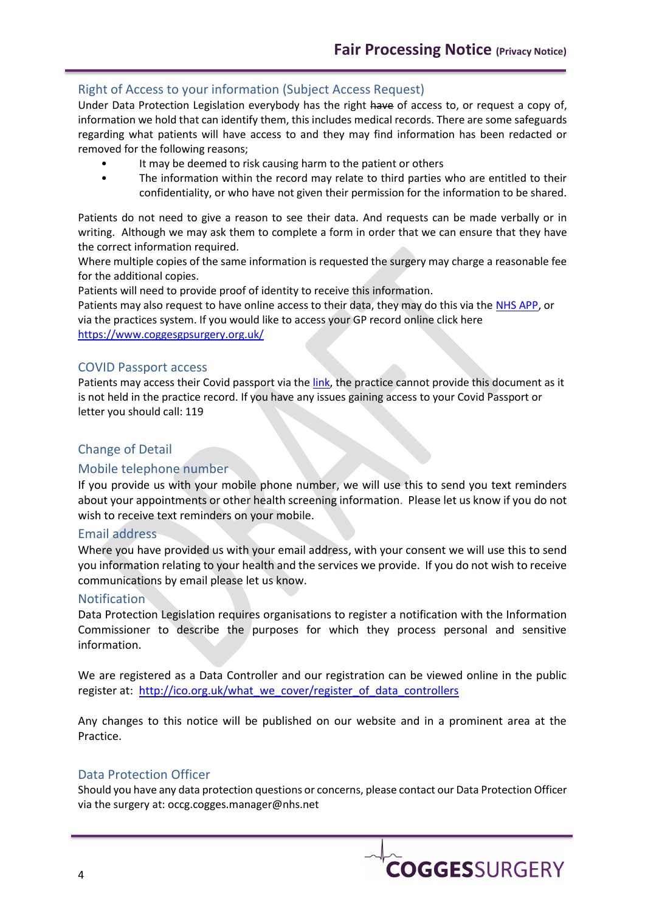## Right of Access to your information (Subject Access Request)

Under Data Protection Legislation everybody has the right have of access to, or request a copy of, information we hold that can identify them, this includes medical records. There are some safeguards regarding what patients will have access to and they may find information has been redacted or removed for the following reasons;

- It may be deemed to risk causing harm to the patient or others
- The information within the record may relate to third parties who are entitled to their confidentiality, or who have not given their permission for the information to be shared.

Patients do not need to give a reason to see their data. And requests can be made verbally or in writing. Although we may ask them to complete a form in order that we can ensure that they have the correct information required.

Where multiple copies of the same information is requested the surgery may charge a reasonable fee for the additional copies.

Patients will need to provide proof of identity to receive this information.

Patients may also request to have online access to their data, they may do this via the [NHS APP,](https://help.login.nhs.uk/setupnhslogin/#where-you-can-use-nhs-login) or via the practices system. If you would like to access your GP record online click here <https://www.coggesgpsurgery.org.uk/>

#### COVID Passport access

Patients may access their Covid passport via th[e link,](https://www.nhs.uk/conditions/coronavirus-covid-19/covid-pass/) the practice cannot provide this document as it is not held in the practice record. If you have any issues gaining access to your Covid Passport or letter you should call: 119

## Change of Detail

#### Mobile telephone number

If you provide us with your mobile phone number, we will use this to send you text reminders about your appointments or other health screening information. Please let us know if you do not wish to receive text reminders on your mobile.

#### Email address

Where you have provided us with your email address, with your consent we will use this to send you information relating to your health and the services we provide. If you do not wish to receive communications by email please let us know.

#### Notification

Data Protection Legislation requires organisations to register a notification with the Information Commissioner to describe the purposes for which they process personal and sensitive information.

We are registered as a Data Controller and our registration can be viewed online in the public register at: [http://ico.org.uk/what\\_we\\_cover/register\\_of\\_data\\_controllers](http://ico.org.uk/what_we_cover/register_of_data_controllers)

Any changes to this notice will be published on our website and in a prominent area at the Practice.

#### Data Protection Officer

Should you have any data protection questions or concerns, please contact our Data Protection Officer via the surgery at: occg.cogges.manager@nhs.net